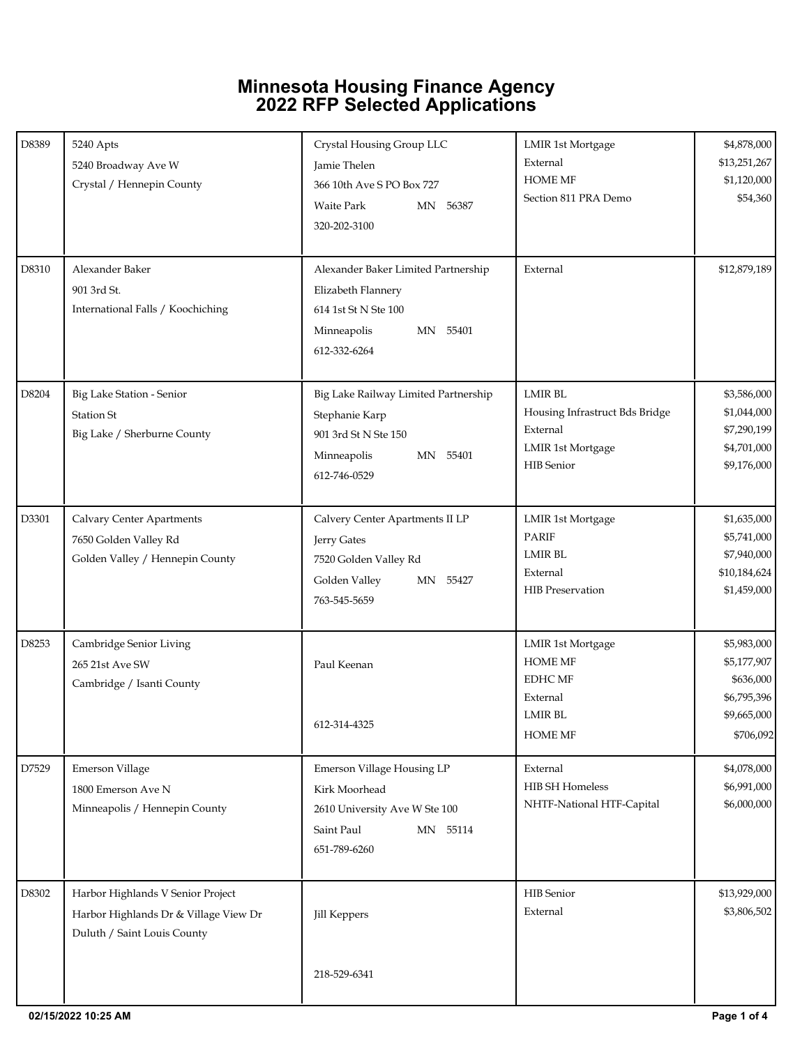## **Minnesota Housing Finance Agency 2022 RFP Selected Applications**

| D8389 | 5240 Apts<br>5240 Broadway Ave W<br>Crystal / Hennepin County                                             | Crystal Housing Group LLC<br>Jamie Thelen<br>366 10th Ave S PO Box 727<br><b>Waite Park</b><br>MN 56387<br>320-202-3100      | <b>LMIR 1st Mortgage</b><br>External<br><b>HOME MF</b><br>Section 811 PRA Demo                               | \$4,878,000<br>\$13,251,267<br>\$1,120,000<br>\$54,360                             |
|-------|-----------------------------------------------------------------------------------------------------------|------------------------------------------------------------------------------------------------------------------------------|--------------------------------------------------------------------------------------------------------------|------------------------------------------------------------------------------------|
| D8310 | Alexander Baker<br>901 3rd St.<br>International Falls / Koochiching                                       | Alexander Baker Limited Partnership<br>Elizabeth Flannery<br>614 1st St N Ste 100<br>Minneapolis<br>MN 55401<br>612-332-6264 | External                                                                                                     | \$12,879,189                                                                       |
| D8204 | Big Lake Station - Senior<br><b>Station St</b><br>Big Lake / Sherburne County                             | Big Lake Railway Limited Partnership<br>Stephanie Karp<br>901 3rd St N Ste 150<br>Minneapolis<br>MN 55401<br>612-746-0529    | <b>LMIR BL</b><br>Housing Infrastruct Bds Bridge<br>External<br><b>LMIR 1st Mortgage</b><br>HIB Senior       | \$3,586,000<br>\$1,044,000<br>\$7,290,199<br>\$4,701,000<br>\$9,176,000            |
| D3301 | <b>Calvary Center Apartments</b><br>7650 Golden Valley Rd<br>Golden Valley / Hennepin County              | Calvery Center Apartments II LP<br>Jerry Gates<br>7520 Golden Valley Rd<br>Golden Valley<br>MN 55427<br>763-545-5659         | <b>LMIR 1st Mortgage</b><br>PARIF<br><b>LMIR BL</b><br>External<br>HIB Preservation                          | \$1,635,000<br>\$5,741,000<br>\$7,940,000<br>\$10,184,624<br>\$1,459,000           |
| D8253 | Cambridge Senior Living<br>265 21st Ave SW<br>Cambridge / Isanti County                                   | Paul Keenan<br>612-314-4325                                                                                                  | <b>LMIR 1st Mortgage</b><br><b>HOME MF</b><br><b>EDHC MF</b><br>External<br><b>LMIR BL</b><br><b>HOME MF</b> | \$5,983,000<br>\$5,177,907<br>\$636,000<br>\$6,795,396<br>\$9,665,000<br>\$706,092 |
| D7529 | <b>Emerson Village</b><br>1800 Emerson Ave N<br>Minneapolis / Hennepin County                             | Emerson Village Housing LP<br>Kirk Moorhead<br>2610 University Ave W Ste 100<br>Saint Paul<br>MN 55114<br>651-789-6260       | External<br>HIB SH Homeless<br>NHTF-National HTF-Capital                                                     | \$4,078,000<br>\$6,991,000<br>\$6,000,000                                          |
| D8302 | Harbor Highlands V Senior Project<br>Harbor Highlands Dr & Village View Dr<br>Duluth / Saint Louis County | Jill Keppers<br>218-529-6341                                                                                                 | HIB Senior<br>External                                                                                       | \$13,929,000<br>\$3,806,502                                                        |
|       |                                                                                                           |                                                                                                                              |                                                                                                              |                                                                                    |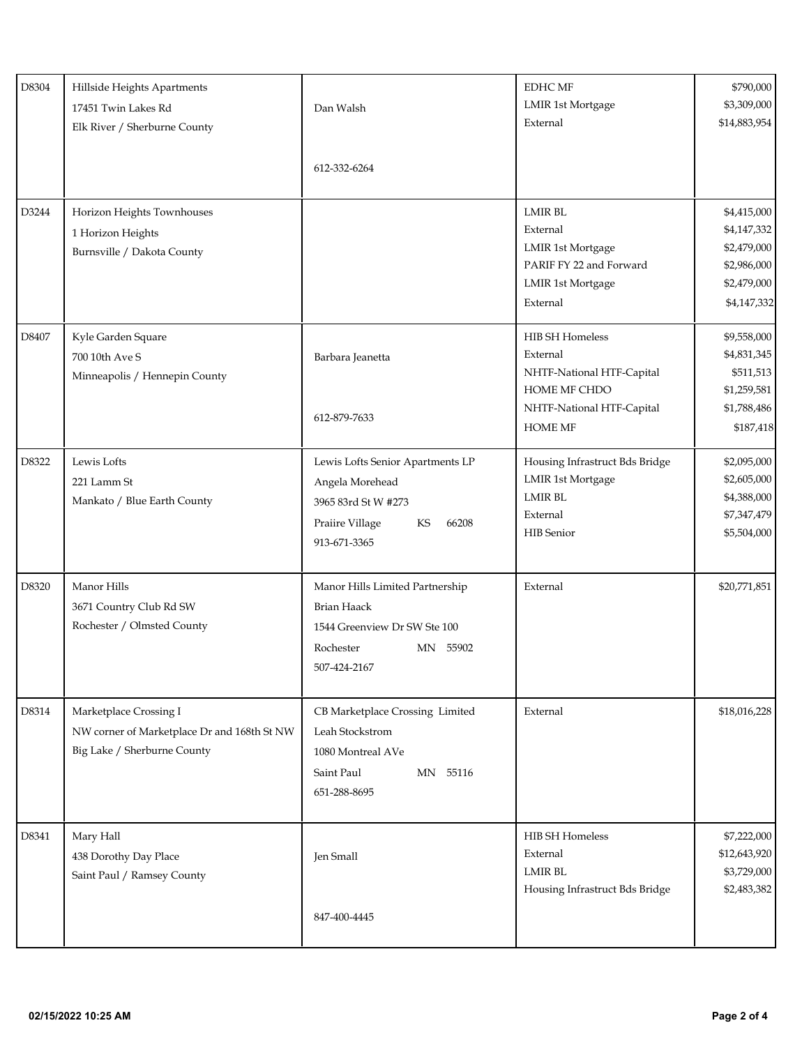| D8304 | Hillside Heights Apartments<br>17451 Twin Lakes Rd<br>Elk River / Sherburne County                   | Dan Walsh<br>612-332-6264                                                                                                      | <b>EDHC MF</b><br><b>LMIR 1st Mortgage</b><br>External                                                                                | \$790,000<br>\$3,309,000<br>\$14,883,954                                               |
|-------|------------------------------------------------------------------------------------------------------|--------------------------------------------------------------------------------------------------------------------------------|---------------------------------------------------------------------------------------------------------------------------------------|----------------------------------------------------------------------------------------|
| D3244 | Horizon Heights Townhouses<br>1 Horizon Heights<br>Burnsville / Dakota County                        |                                                                                                                                | <b>LMIR BL</b><br>External<br><b>LMIR 1st Mortgage</b><br>PARIF FY 22 and Forward<br><b>LMIR 1st Mortgage</b><br>External             | \$4,415,000<br>\$4,147,332<br>\$2,479,000<br>\$2,986,000<br>\$2,479,000<br>\$4,147,332 |
| D8407 | Kyle Garden Square<br>700 10th Ave S<br>Minneapolis / Hennepin County                                | Barbara Jeanetta<br>612-879-7633                                                                                               | <b>HIB SH Homeless</b><br>External<br>NHTF-National HTF-Capital<br><b>HOME MF CHDO</b><br>NHTF-National HTF-Capital<br><b>HOME MF</b> | \$9,558,000<br>\$4,831,345<br>\$511,513<br>\$1,259,581<br>\$1,788,486<br>\$187,418     |
| D8322 | Lewis Lofts<br>221 Lamm St<br>Mankato / Blue Earth County                                            | Lewis Lofts Senior Apartments LP<br>Angela Morehead<br>3965 83rd St W #273<br>KS<br>Praiire Village<br>66208<br>913-671-3365   | Housing Infrastruct Bds Bridge<br><b>LMIR 1st Mortgage</b><br><b>LMIR BL</b><br>External<br><b>HIB</b> Senior                         | \$2,095,000<br>\$2,605,000<br>\$4,388,000<br>\$7,347,479<br>\$5,504,000                |
| D8320 | Manor Hills<br>3671 Country Club Rd SW<br>Rochester / Olmsted County                                 | Manor Hills Limited Partnership<br><b>Brian Haack</b><br>1544 Greenview Dr SW Ste 100<br>Rochester<br>MN 55902<br>507-424-2167 | External                                                                                                                              | \$20,771,851                                                                           |
| D8314 | Marketplace Crossing I<br>NW corner of Marketplace Dr and 168th St NW<br>Big Lake / Sherburne County | CB Marketplace Crossing Limited<br>Leah Stockstrom<br>1080 Montreal AVe<br>Saint Paul<br>MN 55116<br>651-288-8695              | External                                                                                                                              | \$18,016,228                                                                           |
| D8341 | Mary Hall<br>438 Dorothy Day Place<br>Saint Paul / Ramsey County                                     | Jen Small<br>847-400-4445                                                                                                      | <b>HIB SH Homeless</b><br>External<br><b>LMIR BL</b><br>Housing Infrastruct Bds Bridge                                                | \$7,222,000<br>\$12,643,920<br>\$3,729,000<br>\$2,483,382                              |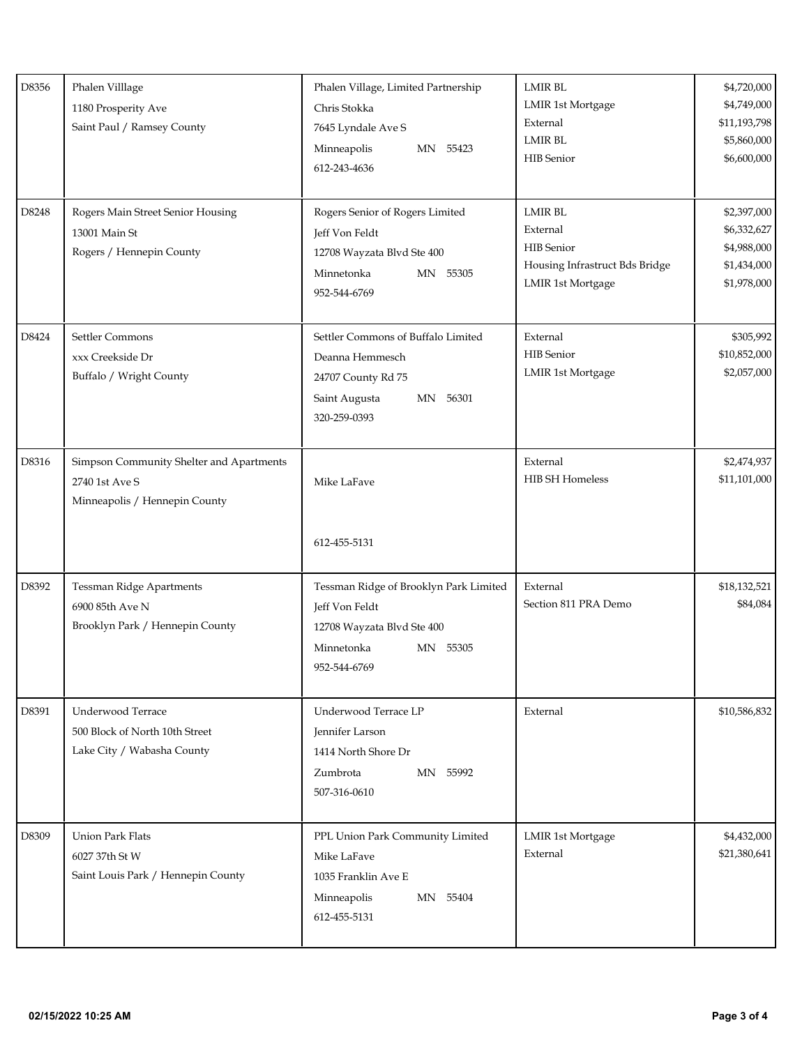| D8356 | Phalen Villlage<br>1180 Prosperity Ave<br>Saint Paul / Ramsey County                        | Phalen Village, Limited Partnership<br>Chris Stokka<br>7645 Lyndale Ave S<br>Minneapolis<br>MN 55423<br>612-243-4636             | <b>LMIR BL</b><br>LMIR 1st Mortgage<br>External<br><b>LMIR BL</b><br><b>HIB</b> Senior                 | \$4,720,000<br>\$4,749,000<br>\$11,193,798<br>\$5,860,000<br>\$6,600,000 |
|-------|---------------------------------------------------------------------------------------------|----------------------------------------------------------------------------------------------------------------------------------|--------------------------------------------------------------------------------------------------------|--------------------------------------------------------------------------|
| D8248 | Rogers Main Street Senior Housing<br>13001 Main St<br>Rogers / Hennepin County              | Rogers Senior of Rogers Limited<br>Jeff Von Feldt<br>12708 Wayzata Blvd Ste 400<br>Minnetonka<br>MN 55305<br>952-544-6769        | <b>LMIR BL</b><br>External<br><b>HIB</b> Senior<br>Housing Infrastruct Bds Bridge<br>LMIR 1st Mortgage | \$2,397,000<br>\$6,332,627<br>\$4,988,000<br>\$1,434,000<br>\$1,978,000  |
| D8424 | Settler Commons<br>xxx Creekside Dr<br>Buffalo / Wright County                              | Settler Commons of Buffalo Limited<br>Deanna Hemmesch<br>24707 County Rd 75<br>Saint Augusta<br>MN 56301<br>320-259-0393         | External<br><b>HIB</b> Senior<br>LMIR 1st Mortgage                                                     | \$305,992<br>\$10,852,000<br>\$2,057,000                                 |
| D8316 | Simpson Community Shelter and Apartments<br>2740 1st Ave S<br>Minneapolis / Hennepin County | Mike LaFave<br>612-455-5131                                                                                                      | External<br>HIB SH Homeless                                                                            | \$2,474,937<br>\$11,101,000                                              |
| D8392 | <b>Tessman Ridge Apartments</b><br>6900 85th Ave N<br>Brooklyn Park / Hennepin County       | Tessman Ridge of Brooklyn Park Limited<br>Jeff Von Feldt<br>12708 Wayzata Blvd Ste 400<br>Minnetonka<br>MN 55305<br>952-544-6769 | External<br>Section 811 PRA Demo                                                                       | \$18,132,521<br>\$84,084                                                 |
| D8391 | Underwood Terrace<br>500 Block of North 10th Street<br>Lake City / Wabasha County           | Underwood Terrace LP<br>Jennifer Larson<br>1414 North Shore Dr<br>Zumbrota<br>MN 55992<br>507-316-0610                           | External                                                                                               | \$10,586,832                                                             |
| D8309 | <b>Union Park Flats</b><br>6027 37th St W<br>Saint Louis Park / Hennepin County             | PPL Union Park Community Limited<br>Mike LaFave<br>1035 Franklin Ave E<br>Minneapolis<br>MN 55404<br>612-455-5131                | <b>LMIR 1st Mortgage</b><br>External                                                                   | \$4,432,000<br>\$21,380,641                                              |